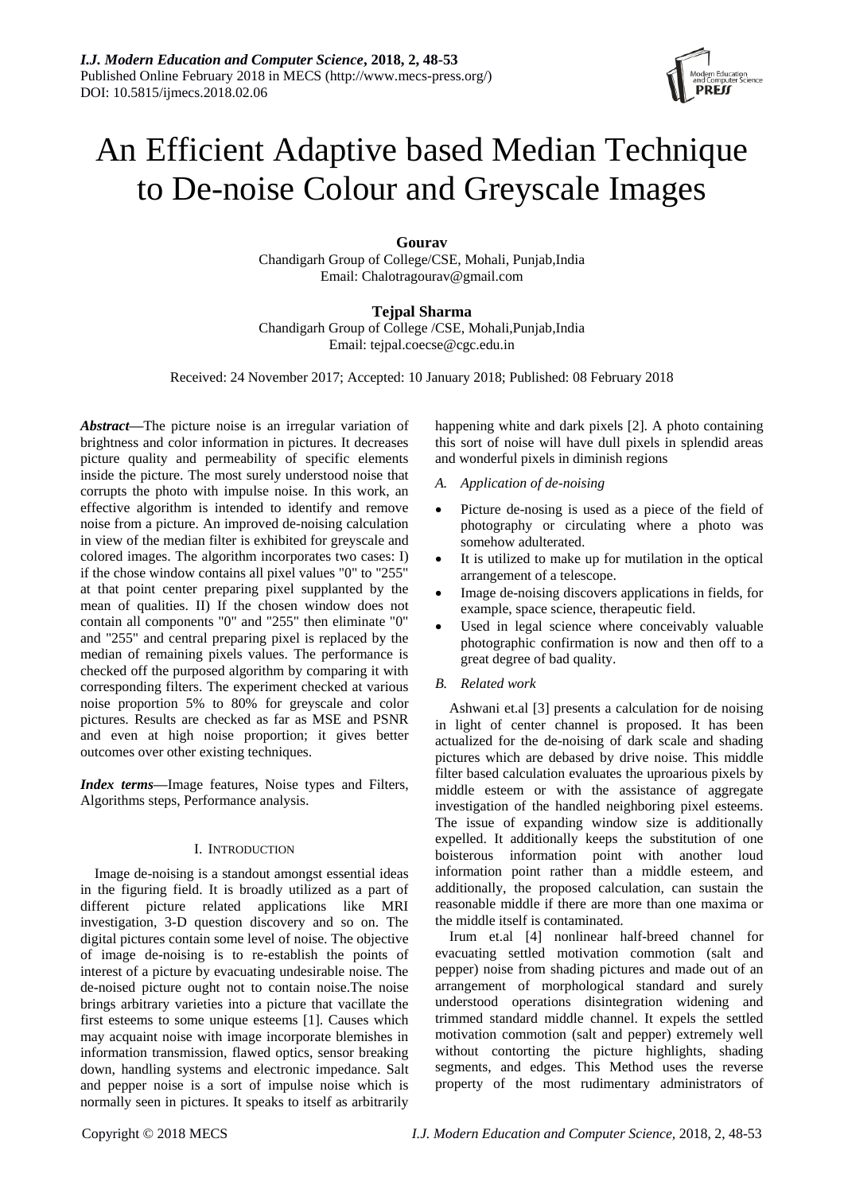

# An Efficient Adaptive based Median Technique to De-noise Colour and Greyscale Images

**Gourav**

Chandigarh Group of College/CSE, Mohali, Punjab,India Email: Chalotragourav@gmail.com

# **Tejpal Sharma**

Chandigarh Group of College /CSE, Mohali,Punjab,India Email: tejpal.coecse@cgc.edu.in

Received: 24 November 2017; Accepted: 10 January 2018; Published: 08 February 2018

*Abstract—*The picture noise is an irregular variation of brightness and color information in pictures. It decreases picture quality and permeability of specific elements inside the picture. The most surely understood noise that corrupts the photo with impulse noise. In this work, an effective algorithm is intended to identify and remove noise from a picture. An improved de-noising calculation in view of the median filter is exhibited for greyscale and colored images. The algorithm incorporates two cases: I) if the chose window contains all pixel values "0" to "255" at that point center preparing pixel supplanted by the mean of qualities. II) If the chosen window does not contain all components "0" and "255" then eliminate "0" and "255" and central preparing pixel is replaced by the median of remaining pixels values. The performance is checked off the purposed algorithm by comparing it with corresponding filters. The experiment checked at various noise proportion 5% to 80% for greyscale and color pictures. Results are checked as far as MSE and PSNR and even at high noise proportion; it gives better outcomes over other existing techniques.

*Index terms—*Image features, Noise types and Filters, Algorithms steps, Performance analysis.

## I. INTRODUCTION

Image de-noising is a standout amongst essential ideas in the figuring field. It is broadly utilized as a part of different picture related applications like MRI investigation, 3-D question discovery and so on. The digital pictures contain some level of noise. The objective of image de-noising is to re-establish the points of interest of a picture by evacuating undesirable noise. The de-noised picture ought not to contain noise.The noise brings arbitrary varieties into a picture that vacillate the first esteems to some unique esteems [1]. Causes which may acquaint noise with image incorporate blemishes in information transmission, flawed optics, sensor breaking down, handling systems and electronic impedance. Salt and pepper noise is a sort of impulse noise which is normally seen in pictures. It speaks to itself as arbitrarily

happening white and dark pixels [2]. A photo containing this sort of noise will have dull pixels in splendid areas and wonderful pixels in diminish regions

- *A. Application of de-noising*
- Picture de-nosing is used as a piece of the field of photography or circulating where a photo was somehow adulterated.
- It is utilized to make up for mutilation in the optical arrangement of a telescope.
- Image de-noising discovers applications in fields, for example, space science, therapeutic field.
- Used in legal science where conceivably valuable photographic confirmation is now and then off to a great degree of bad quality.

## *B. Related work*

Ashwani et.al [3] presents a calculation for de noising in light of center channel is proposed. It has been actualized for the de-noising of dark scale and shading pictures which are debased by drive noise. This middle filter based calculation evaluates the uproarious pixels by middle esteem or with the assistance of aggregate investigation of the handled neighboring pixel esteems. The issue of expanding window size is additionally expelled. It additionally keeps the substitution of one boisterous information point with another loud information point rather than a middle esteem, and additionally, the proposed calculation, can sustain the reasonable middle if there are more than one maxima or the middle itself is contaminated.

Irum et.al [4] nonlinear half-breed channel for evacuating settled motivation commotion (salt and pepper) noise from shading pictures and made out of an arrangement of morphological standard and surely understood operations disintegration widening and trimmed standard middle channel. It expels the settled motivation commotion (salt and pepper) extremely well without contorting the picture highlights, shading segments, and edges. This Method uses the reverse property of the most rudimentary administrators of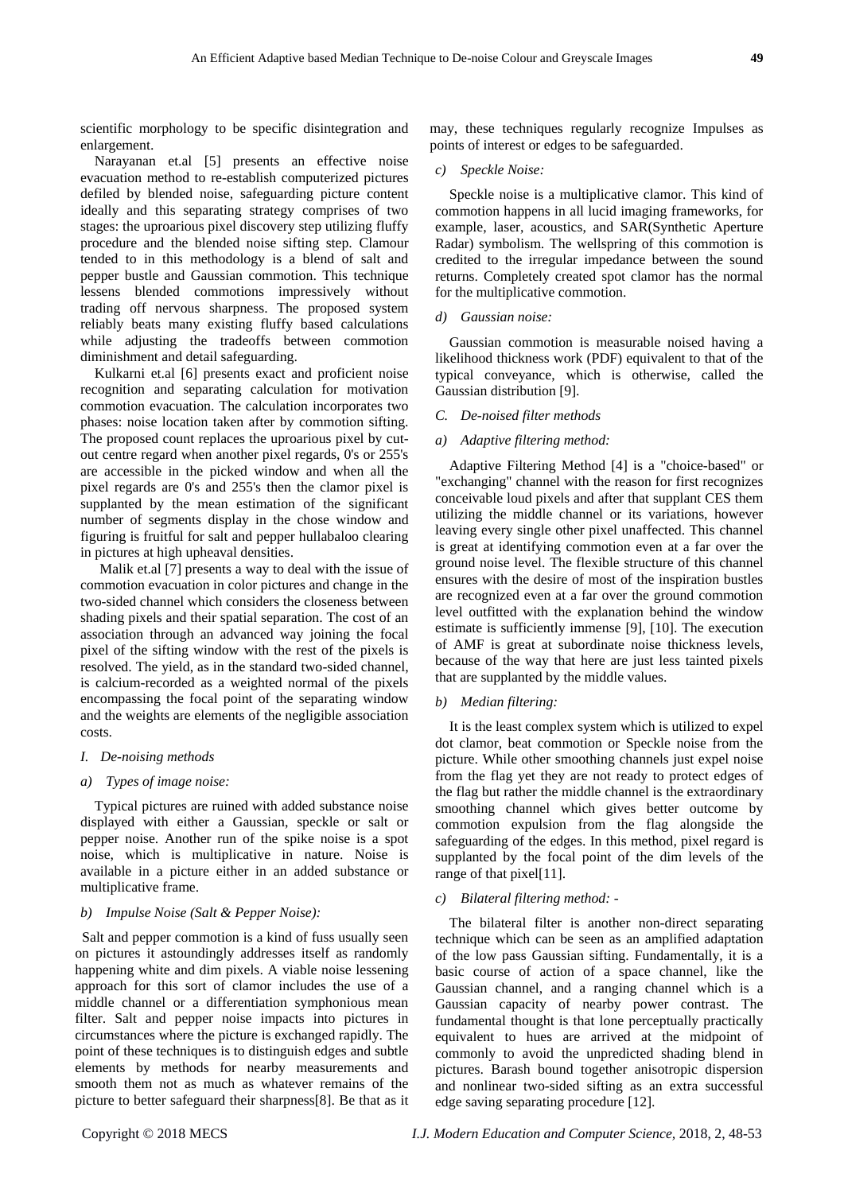scientific morphology to be specific disintegration and enlargement.

Narayanan et.al [5] presents an effective noise evacuation method to re-establish computerized pictures defiled by blended noise, safeguarding picture content ideally and this separating strategy comprises of two stages: the uproarious pixel discovery step utilizing fluffy procedure and the blended noise sifting step. Clamour tended to in this methodology is a blend of salt and pepper bustle and Gaussian commotion. This technique lessens blended commotions impressively without trading off nervous sharpness. The proposed system reliably beats many existing fluffy based calculations while adjusting the tradeoffs between commotion diminishment and detail safeguarding.

Kulkarni et.al [6] presents exact and proficient noise recognition and separating calculation for motivation commotion evacuation. The calculation incorporates two phases: noise location taken after by commotion sifting. The proposed count replaces the uproarious pixel by cutout centre regard when another pixel regards, 0's or 255's are accessible in the picked window and when all the pixel regards are 0's and 255's then the clamor pixel is supplanted by the mean estimation of the significant number of segments display in the chose window and figuring is fruitful for salt and pepper hullabaloo clearing in pictures at high upheaval densities.

Malik et.al [7] presents a way to deal with the issue of commotion evacuation in color pictures and change in the two-sided channel which considers the closeness between shading pixels and their spatial separation. The cost of an association through an advanced way joining the focal pixel of the sifting window with the rest of the pixels is resolved. The yield, as in the standard two-sided channel, is calcium-recorded as a weighted normal of the pixels encompassing the focal point of the separating window and the weights are elements of the negligible association costs.

## *I. De-noising methods*

## *a) Types of image noise:*

Typical pictures are ruined with added substance noise displayed with either a Gaussian, speckle or salt or pepper noise. Another run of the spike noise is a spot noise, which is multiplicative in nature. Noise is available in a picture either in an added substance or multiplicative frame.

## *b) Impulse Noise (Salt & Pepper Noise):*

Salt and pepper commotion is a kind of fuss usually seen on pictures it astoundingly addresses itself as randomly happening white and dim pixels. A viable noise lessening approach for this sort of clamor includes the use of a middle channel or a differentiation symphonious mean filter. Salt and pepper noise impacts into pictures in circumstances where the picture is exchanged rapidly. The point of these techniques is to distinguish edges and subtle elements by methods for nearby measurements and smooth them not as much as whatever remains of the picture to better safeguard their sharpness[8]. Be that as it may, these techniques regularly recognize Impulses as points of interest or edges to be safeguarded.

#### *c) Speckle Noise:*

Speckle noise is a multiplicative clamor. This kind of commotion happens in all lucid imaging frameworks, for example, laser, acoustics, and SAR(Synthetic Aperture Radar) symbolism. The wellspring of this commotion is credited to the irregular impedance between the sound returns. Completely created spot clamor has the normal for the multiplicative commotion.

## *d) Gaussian noise:*

Gaussian commotion is measurable noised having a likelihood thickness work (PDF) equivalent to that of the typical conveyance, which is otherwise, called the Gaussian distribution [9].

## *C. De-noised filter methods*

## *a) Adaptive filtering method:*

Adaptive Filtering Method [4] is a "choice-based" or "exchanging" channel with the reason for first recognizes conceivable loud pixels and after that supplant CES them utilizing the middle channel or its variations, however leaving every single other pixel unaffected. This channel is great at identifying commotion even at a far over the ground noise level. The flexible structure of this channel ensures with the desire of most of the inspiration bustles are recognized even at a far over the ground commotion level outfitted with the explanation behind the window estimate is sufficiently immense [9], [10]. The execution of AMF is great at subordinate noise thickness levels, because of the way that here are just less tainted pixels that are supplanted by the middle values.

## *b) Median filtering:*

It is the least complex system which is utilized to expel dot clamor, beat commotion or Speckle noise from the picture. While other smoothing channels just expel noise from the flag yet they are not ready to protect edges of the flag but rather the middle channel is the extraordinary smoothing channel which gives better outcome by commotion expulsion from the flag alongside the safeguarding of the edges. In this method, pixel regard is supplanted by the focal point of the dim levels of the range of that pixel[11].

## *c) Bilateral filtering method: -*

The bilateral filter is another non-direct separating technique which can be seen as an amplified adaptation of the low pass Gaussian sifting. Fundamentally, it is a basic course of action of a space channel, like the Gaussian channel, and a ranging channel which is a Gaussian capacity of nearby power contrast. The fundamental thought is that lone perceptually practically equivalent to hues are arrived at the midpoint of commonly to avoid the unpredicted shading blend in pictures. Barash bound together anisotropic dispersion and nonlinear two-sided sifting as an extra successful edge saving separating procedure [12].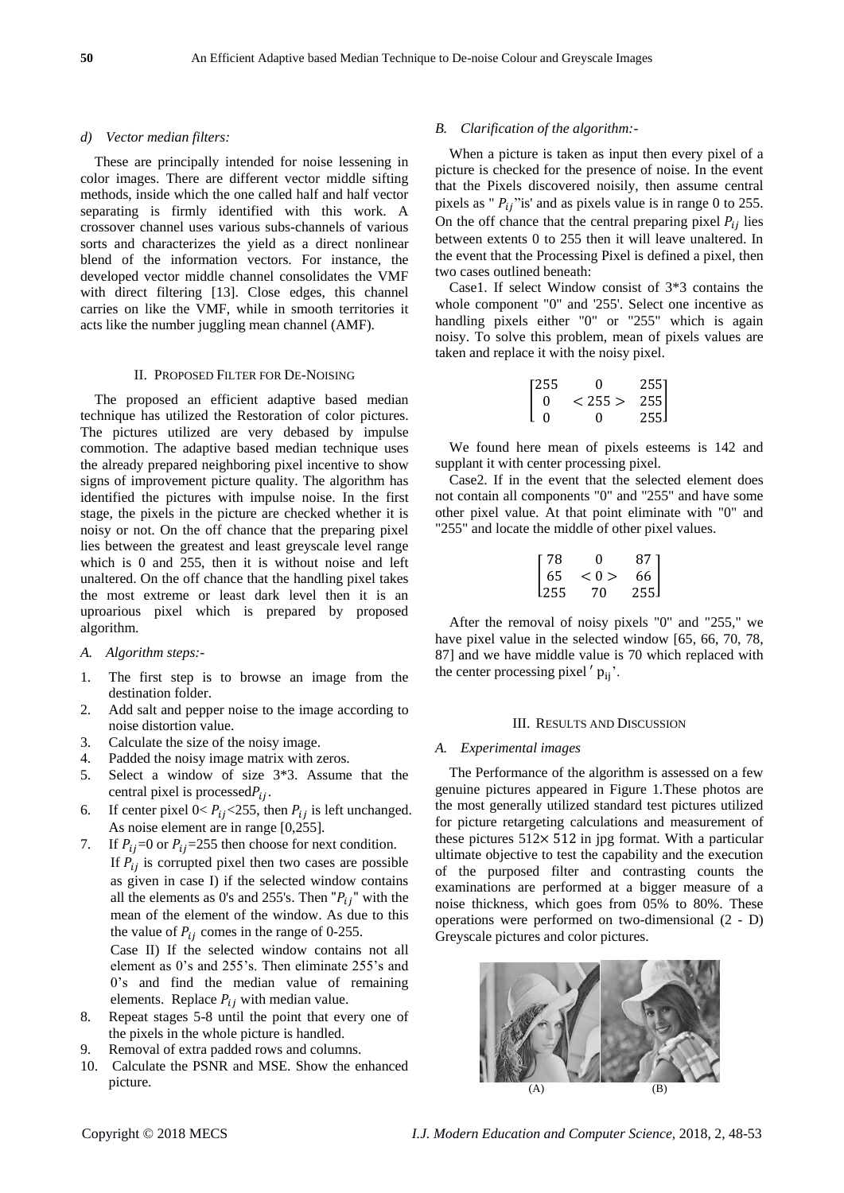#### *d) Vector median filters:*

These are principally intended for noise lessening in color images. There are different vector middle sifting methods, inside which the one called half and half vector separating is firmly identified with this work. A crossover channel uses various subs-channels of various sorts and characterizes the yield as a direct nonlinear blend of the information vectors. For instance, the developed vector middle channel consolidates the VMF with direct filtering [13]. Close edges, this channel carries on like the VMF, while in smooth territories it acts like the number juggling mean channel (AMF).

#### II. PROPOSED FILTER FOR DE-NOISING

The proposed an efficient adaptive based median technique has utilized the Restoration of color pictures. The pictures utilized are very debased by impulse commotion. The adaptive based median technique uses the already prepared neighboring pixel incentive to show signs of improvement picture quality. The algorithm has identified the pictures with impulse noise. In the first stage, the pixels in the picture are checked whether it is noisy or not. On the off chance that the preparing pixel lies between the greatest and least greyscale level range which is 0 and 255, then it is without noise and left unaltered. On the off chance that the handling pixel takes the most extreme or least dark level then it is an uproarious pixel which is prepared by proposed algorithm.

- *A. Algorithm steps:-*
- 1. The first step is to browse an image from the destination folder.
- 2. Add salt and pepper noise to the image according to noise distortion value.
- 3. Calculate the size of the noisy image.
- 4. Padded the noisy image matrix with zeros.
- 5. Select a window of size 3\*3. Assume that the central pixel is processed $P_{ij}$ .
- 6. If center pixel  $0 < P_{ij} < 255$ , then  $P_{ij}$  is left unchanged. As noise element are in range [0,255].
- 7. If  $P_{ij}=0$  or  $P_{ij}=255$  then choose for next condition. If  $P_{ij}$  is corrupted pixel then two cases are possible as given in case I) if the selected window contains all the elements as 0's and 255's. Then " $P_{ij}$ " with the mean of the element of the window. As due to this the value of  $P_{ij}$  comes in the range of 0-255.

Case II) If the selected window contains not all element as 0's and 255's. Then eliminate 255's and 0's and find the median value of remaining elements. Replace  $P_{ij}$  with median value.

- 8. Repeat stages 5-8 until the point that every one of the pixels in the whole picture is handled.
- 9. Removal of extra padded rows and columns.
- 10. Calculate the PSNR and MSE. Show the enhanced picture.

## *B. Clarification of the algorithm:-*

When a picture is taken as input then every pixel of a picture is checked for the presence of noise. In the event that the Pixels discovered noisily, then assume central pixels as " $P_{ij}$ " is' and as pixels value is in range 0 to 255. On the off chance that the central preparing pixel  $P_{ij}$  lies between extents 0 to 255 then it will leave unaltered. In the event that the Processing Pixel is defined a pixel, then two cases outlined beneath:

Case1. If select Window consist of 3\*3 contains the whole component "0" and '255'. Select one incentive as handling pixels either "0" or "255" which is again noisy. To solve this problem, mean of pixels values are taken and replace it with the noisy pixel.

| [255]    | $\Omega$     | 2551 |
|----------|--------------|------|
| $\Omega$ | < 255        | 255  |
| ΙO       | $\mathbf{0}$ | 255  |

We found here mean of pixels esteems is 142 and supplant it with center processing pixel.

Case2. If in the event that the selected element does not contain all components "0" and "255" and have some other pixel value. At that point eliminate with "0" and "255" and locate the middle of other pixel values.

$$
\begin{bmatrix} 78 & 0 & 87 \\ 65 & <0 > & 66 \\ 255 & 70 & 255 \end{bmatrix}
$$

After the removal of noisy pixels "0" and "255," we have pixel value in the selected window [65, 66, 70, 78, 87] and we have middle value is 70 which replaced with the center processing pixel  $'$   $p_{ij}$ .

#### III. RESULTS AND DISCUSSION

#### *A. Experimental images*

The Performance of the algorithm is assessed on a few genuine pictures appeared in Figure 1.These photos are the most generally utilized standard test pictures utilized for picture retargeting calculations and measurement of these pictures  $512 \times 512$  in jpg format. With a particular ultimate objective to test the capability and the execution of the purposed filter and contrasting counts the examinations are performed at a bigger measure of a noise thickness, which goes from 05% to 80%. These operations were performed on two-dimensional (2 - D) Greyscale pictures and color pictures.

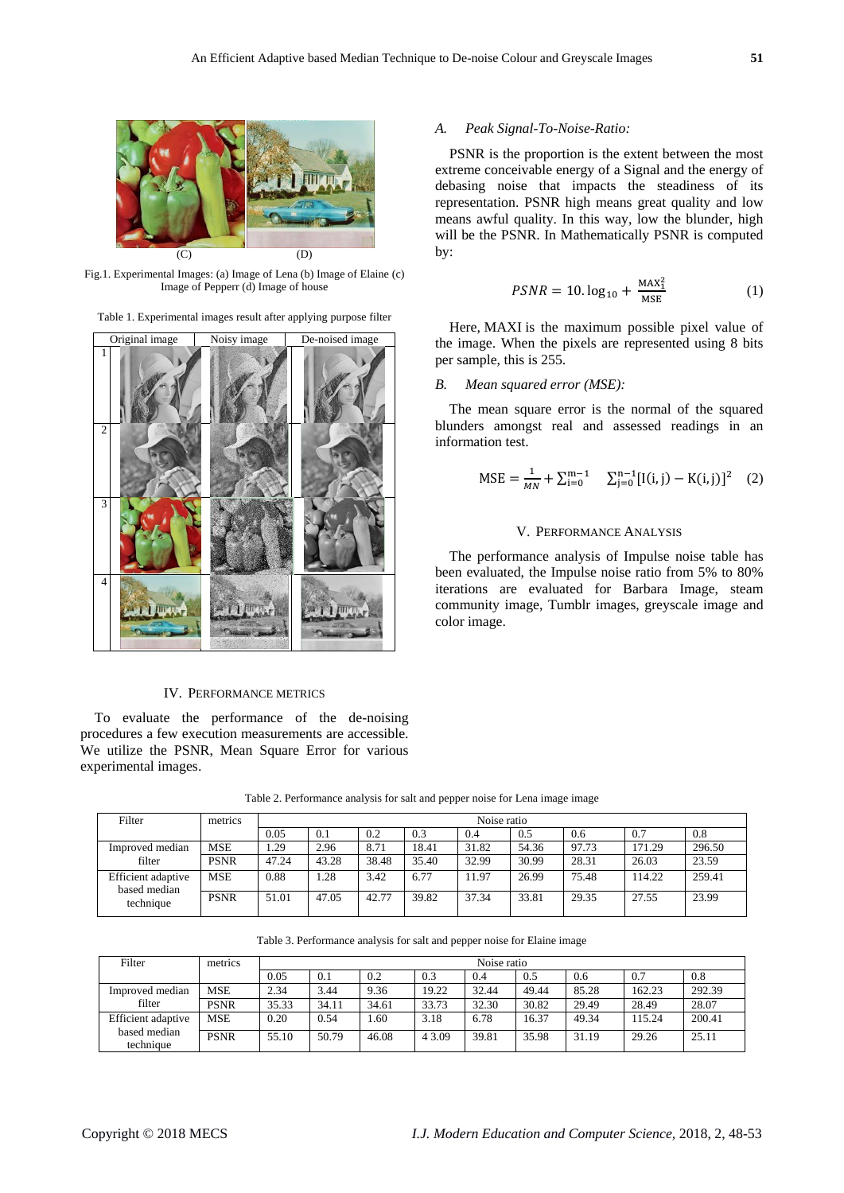

Fig.1. Experimental Images: (a) Image of Lena (b) Image of Elaine (c) Image of Pepperr (d) Image of house

Table 1. Experimental images result after applying purpose filter



## IV. PERFORMANCE METRICS

To evaluate the performance of the de-noising procedures a few execution measurements are accessible. We utilize the PSNR, Mean Square Error for various experimental images.

*A. Peak Signal-To-Noise-Ratio:*

PSNR is the proportion is the extent between the most extreme conceivable energy of a Signal and the energy of debasing noise that impacts the steadiness of its representation. PSNR high means great quality and low means awful quality. In this way, low the blunder, high will be the PSNR. In Mathematically PSNR is computed by:

$$
PSNR = 10. \log_{10} + \frac{\text{MAX}_1^2}{\text{MSE}} \tag{1}
$$

Here, MAXI is the maximum possible pixel value of the image. When the pixels are represented using 8 bits per sample, this is 255.

#### *B. Mean squared error (MSE):*

The mean square error is the normal of the squared blunders amongst real and assessed readings in an information test.

$$
MSE = \frac{1}{MN} + \sum_{i=0}^{m-1} \sum_{j=0}^{n-1} [I(i, j) - K(i, j)]^2 \quad (2)
$$

#### V. PERFORMANCE ANALYSIS

The performance analysis of Impulse noise table has been evaluated, the Impulse noise ratio from 5% to 80% iterations are evaluated for Barbara Image, steam community image, Tumblr images, greyscale image and color image.

Filter metrics metrics Noise ratio 0.05 | 0.1 | 0.2 | 0.3 | 0.4 | 0.5 | 0.6 | 0.7 | 0.8 Improved median filter MSE 1.29 2.96 8.71 18.41 31.82 54.36 97.73 171.29 296.50 PSNR 47.24 43.28 38.48 35.40 32.99 30.99 28.31 26.03 23.59 Efficient adaptive based median MSE 0.88 1.28 3.42 6.77 11.97 26.99 75.48 114.22 259.41 PSNR 51.01 47.05 42.77 39.82 37.34 33.81 29.35 27.55 23.99

Table 2. Performance analysis for salt and pepper noise for Lena image image

| Table 3. Performance analysis for salt and pepper noise for Elaine image |  |
|--------------------------------------------------------------------------|--|
|--------------------------------------------------------------------------|--|

| Filter                                          | metrics     |       | Noise ratio |       |        |       |       |       |        |        |
|-------------------------------------------------|-------------|-------|-------------|-------|--------|-------|-------|-------|--------|--------|
|                                                 |             | 0.05  | 0.1         | 0.2   | 0.3    | 0.4   | 0.5   | 0.6   | 0.7    | 0.8    |
| Improved median<br>filter                       | MSE         | 2.34  | 3.44        | 9.36  | 19.22  | 32.44 | 49.44 | 85.28 | 162.23 | 292.39 |
|                                                 | <b>PSNR</b> | 35.33 | 34.11       | 34.61 | 33.73  | 32.30 | 30.82 | 29.49 | 28.49  | 28.07  |
| Efficient adaptive<br>based median<br>technique | MSE         | 0.20  | 0.54        | . 60  | 3.18   | 6.78  | 16.37 | 49.34 | 15.24  | 200.41 |
|                                                 | <b>PSNR</b> | 55.10 | 50.79       | 46.08 | 4 3.09 | 39.81 | 35.98 | 31.19 | 29.26  | 25.11  |

technique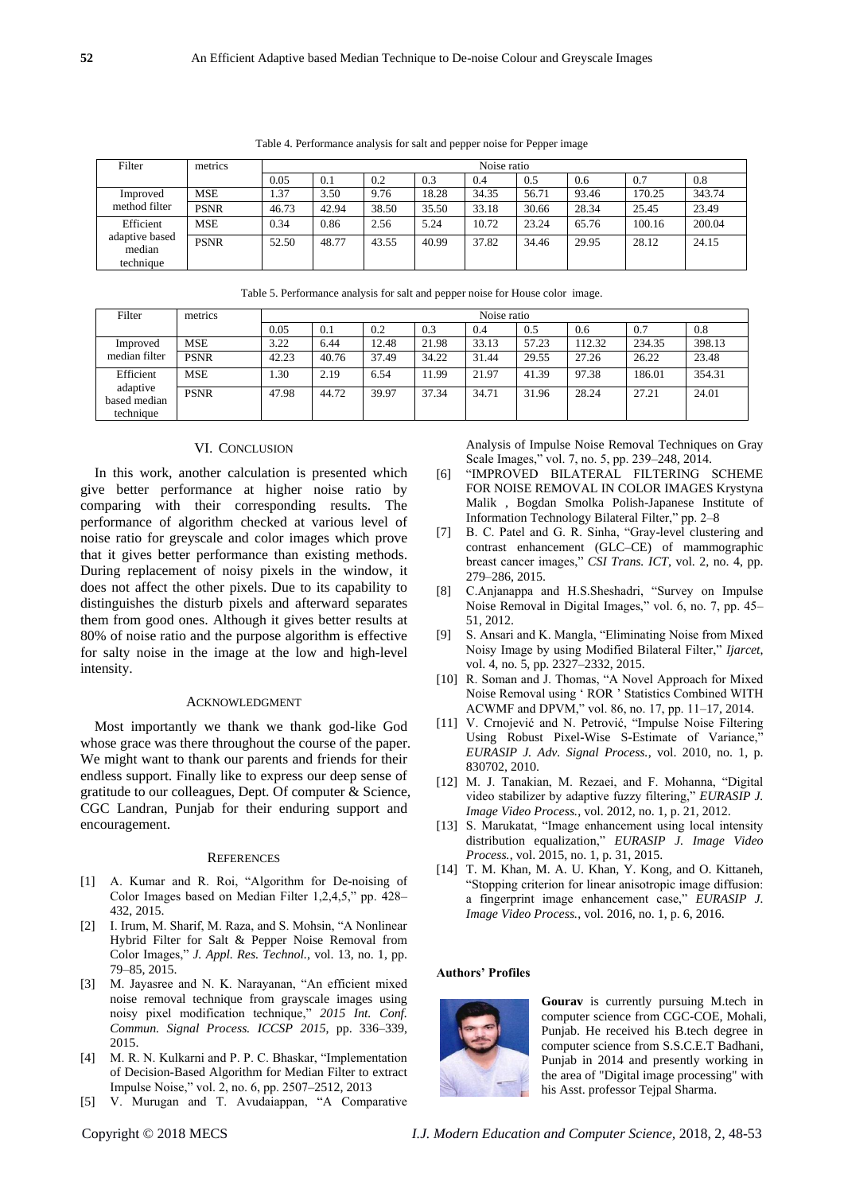Table 4. Performance analysis for salt and pepper noise for Pepper image

| Filter                                             | metrics     |       | Noise ratio |       |       |       |       |       |        |        |
|----------------------------------------------------|-------------|-------|-------------|-------|-------|-------|-------|-------|--------|--------|
|                                                    |             | 0.05  | 0.1         | 0.2   | 0.3   | 0.4   | 0.5   | 0.6   | 0.7    | 0.8    |
| Improved<br>method filter                          | <b>MSE</b>  | 1.37  | 3.50        | 9.76  | 18.28 | 34.35 | 56.71 | 93.46 | 170.25 | 343.74 |
|                                                    | <b>PSNR</b> | 46.73 | 42.94       | 38.50 | 35.50 | 33.18 | 30.66 | 28.34 | 25.45  | 23.49  |
| Efficient<br>adaptive based<br>median<br>technique | <b>MSE</b>  | 0.34  | 0.86        | 2.56  | 5.24  | 10.72 | 23.24 | 65.76 | 100.16 | 200.04 |
|                                                    | <b>PSNR</b> | 52.50 | 48.77       | 43.55 | 40.99 | 37.82 | 34.46 | 29.95 | 28.12  | 24.15  |

| Table 5. Performance analysis for salt and pepper noise for House color image. |  |
|--------------------------------------------------------------------------------|--|
|--------------------------------------------------------------------------------|--|

| Filter                                             | metrics     |       | Noise ratio |       |       |       |       |        |        |        |
|----------------------------------------------------|-------------|-------|-------------|-------|-------|-------|-------|--------|--------|--------|
|                                                    |             | 0.05  | 0.1         | 0.2   | 0.3   | 0.4   | 0.5   | 0.6    | 0.7    | 0.8    |
| Improved<br>median filter                          | <b>MSE</b>  | 3.22  | 6.44        | 12.48 | 21.98 | 33.13 | 57.23 | 112.32 | 234.35 | 398.13 |
|                                                    | <b>PSNR</b> | 42.23 | 40.76       | 37.49 | 34.22 | 31.44 | 29.55 | 27.26  | 26.22  | 23.48  |
| Efficient<br>adaptive<br>based median<br>technique | <b>MSE</b>  | 1.30  | 2.19        | 6.54  | 11.99 | 21.97 | 41.39 | 97.38  | 186.01 | 354.31 |
|                                                    | <b>PSNR</b> | 47.98 | 44.72       | 39.97 | 37.34 | 34.71 | 31.96 | 28.24  | 27.21  | 24.01  |

## VI. CONCLUSION

In this work, another calculation is presented which give better performance at higher noise ratio by comparing with their corresponding results. The performance of algorithm checked at various level of noise ratio for greyscale and color images which prove that it gives better performance than existing methods. During replacement of noisy pixels in the window, it does not affect the other pixels. Due to its capability to distinguishes the disturb pixels and afterward separates them from good ones. Although it gives better results at 80% of noise ratio and the purpose algorithm is effective for salty noise in the image at the low and high-level intensity.

#### ACKNOWLEDGMENT

Most importantly we thank we thank god-like God whose grace was there throughout the course of the paper. We might want to thank our parents and friends for their endless support. Finally like to express our deep sense of gratitude to our colleagues, Dept. Of computer & Science, CGC Landran, Punjab for their enduring support and encouragement.

## **REFERENCES**

- [1] A. Kumar and R. Roi, "Algorithm for De-noising of Color Images based on Median Filter 1,2,4,5," pp. 428– 432, 2015.
- [2] I. Irum, M. Sharif, M. Raza, and S. Mohsin, "A Nonlinear Hybrid Filter for Salt & Pepper Noise Removal from Color Images," *J. Appl. Res. Technol.*, vol. 13, no. 1, pp. 79–85, 2015.
- [3] M. Jayasree and N. K. Narayanan, "An efficient mixed noise removal technique from grayscale images using noisy pixel modification technique," *2015 Int. Conf. Commun. Signal Process. ICCSP 2015*, pp. 336–339, 2015.
- [4] M. R. N. Kulkarni and P. P. C. Bhaskar, "Implementation of Decision-Based Algorithm for Median Filter to extract Impulse Noise," vol. 2, no. 6, pp. 2507–2512, 2013
- [5] V. Murugan and T. Avudaiappan, "A Comparative

Analysis of Impulse Noise Removal Techniques on Gray Scale Images," vol. 7, no. 5, pp. 239–248, 2014.

- [6] "IMPROVED BILATERAL FILTERING SCHEME FOR NOISE REMOVAL IN COLOR IMAGES Krystyna Malik , Bogdan Smolka Polish-Japanese Institute of Information Technology Bilateral Filter," pp. 2–8
- [7] B. C. Patel and G. R. Sinha, "Gray-level clustering and contrast enhancement (GLC–CE) of mammographic breast cancer images," *CSI Trans. ICT*, vol. 2, no. 4, pp. 279–286, 2015.
- [8] C.Anjanappa and H.S.Sheshadri, "Survey on Impulse Noise Removal in Digital Images," vol. 6, no. 7, pp. 45– 51, 2012.
- [9] S. Ansari and K. Mangla, "Eliminating Noise from Mixed Noisy Image by using Modified Bilateral Filter," *Ijarcet*, vol. 4, no. 5, pp. 2327–2332, 2015.
- [10] R. Soman and J. Thomas, "A Novel Approach for Mixed Noise Removal using ' ROR ' Statistics Combined WITH ACWMF and DPVM," vol. 86, no. 17, pp. 11–17, 2014.
- [11] V. Crnojević and N. Petrović, "Impulse Noise Filtering Using Robust Pixel-Wise S-Estimate of Variance, *EURASIP J. Adv. Signal Process.*, vol. 2010, no. 1, p. 830702, 2010.
- [12] M. J. Tanakian, M. Rezaei, and F. Mohanna, "Digital video stabilizer by adaptive fuzzy filtering," *EURASIP J. Image Video Process.*, vol. 2012, no. 1, p. 21, 2012.
- [13] S. Marukatat, "Image enhancement using local intensity distribution equalization," *EURASIP J. Image Video Process.*, vol. 2015, no. 1, p. 31, 2015.
- [14] T. M. Khan, M. A. U. Khan, Y. Kong, and O. Kittaneh, "Stopping criterion for linear anisotropic image diffusion: a fingerprint image enhancement case," *EURASIP J. Image Video Process.*, vol. 2016, no. 1, p. 6, 2016.

#### **Authors' Profiles**



**Gourav** is currently pursuing M.tech in computer science from CGC-COE, Mohali, Punjab. He received his B.tech degree in computer science from S.S.C.E.T Badhani, Punjab in 2014 and presently working in the area of "Digital image processing" with his Asst. professor Tejpal Sharma.